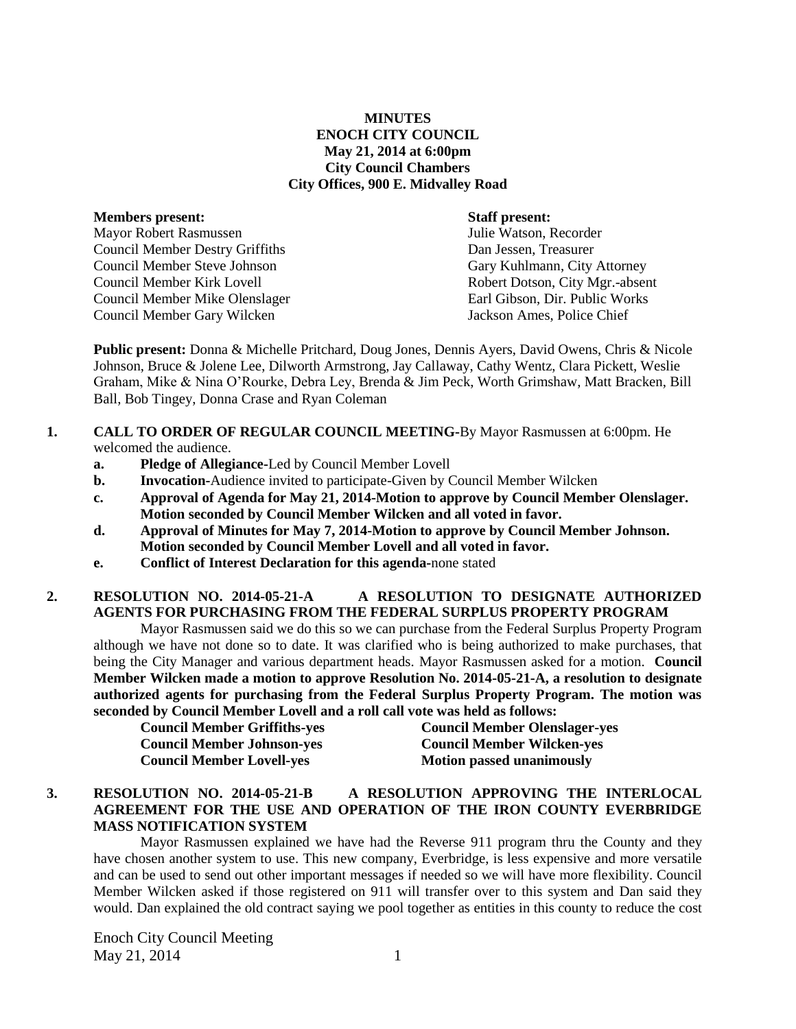### **MINUTES ENOCH CITY COUNCIL May 21, 2014 at 6:00pm City Council Chambers City Offices, 900 E. Midvalley Road**

| Members present:                       |
|----------------------------------------|
| Mayor Robert Rasmussen                 |
| <b>Council Member Destry Griffiths</b> |
| Council Member Steve Johnson           |
| Council Member Kirk Lovell             |
| Council Member Mike Olenslager         |
| Council Member Gary Wilcken            |
|                                        |

#### **Staff present:**

Julie Watson, Recorder Dan Jessen, Treasurer Gary Kuhlmann, City Attorney Robert Dotson, City Mgr.-absent Earl Gibson, Dir. Public Works Jackson Ames, Police Chief

**Public present:** Donna & Michelle Pritchard, Doug Jones, Dennis Ayers, David Owens, Chris & Nicole Johnson, Bruce & Jolene Lee, Dilworth Armstrong, Jay Callaway, Cathy Wentz, Clara Pickett, Weslie Graham, Mike & Nina O'Rourke, Debra Ley, Brenda & Jim Peck, Worth Grimshaw, Matt Bracken, Bill Ball, Bob Tingey, Donna Crase and Ryan Coleman

### **1. CALL TO ORDER OF REGULAR COUNCIL MEETING-**By Mayor Rasmussen at 6:00pm. He welcomed the audience.

- **a. Pledge of Allegiance-**Led by Council Member Lovell
- **b. Invocation-**Audience invited to participate-Given by Council Member Wilcken
- **c. Approval of Agenda for May 21, 2014-Motion to approve by Council Member Olenslager. Motion seconded by Council Member Wilcken and all voted in favor.**
- **d. Approval of Minutes for May 7, 2014-Motion to approve by Council Member Johnson. Motion seconded by Council Member Lovell and all voted in favor.**
- **e. Conflict of Interest Declaration for this agenda-**none stated

# **2. RESOLUTION NO. 2014-05-21-A A RESOLUTION TO DESIGNATE AUTHORIZED AGENTS FOR PURCHASING FROM THE FEDERAL SURPLUS PROPERTY PROGRAM**

Mayor Rasmussen said we do this so we can purchase from the Federal Surplus Property Program although we have not done so to date. It was clarified who is being authorized to make purchases, that being the City Manager and various department heads. Mayor Rasmussen asked for a motion. **Council Member Wilcken made a motion to approve Resolution No. 2014-05-21-A, a resolution to designate authorized agents for purchasing from the Federal Surplus Property Program. The motion was seconded by Council Member Lovell and a roll call vote was held as follows:** 

| <b>Council Member Griffiths-yes</b> | <b>Council Member Olenslager-yes</b> |
|-------------------------------------|--------------------------------------|
| <b>Council Member Johnson-yes</b>   | <b>Council Member Wilcken-yes</b>    |
| <b>Council Member Lovell-yes</b>    | <b>Motion passed unanimously</b>     |

## **3. RESOLUTION NO. 2014-05-21-B A RESOLUTION APPROVING THE INTERLOCAL AGREEMENT FOR THE USE AND OPERATION OF THE IRON COUNTY EVERBRIDGE MASS NOTIFICATION SYSTEM**

Mayor Rasmussen explained we have had the Reverse 911 program thru the County and they have chosen another system to use. This new company, Everbridge, is less expensive and more versatile and can be used to send out other important messages if needed so we will have more flexibility. Council Member Wilcken asked if those registered on 911 will transfer over to this system and Dan said they would. Dan explained the old contract saying we pool together as entities in this county to reduce the cost

Enoch City Council Meeting  $\text{May } 21, 2014$  1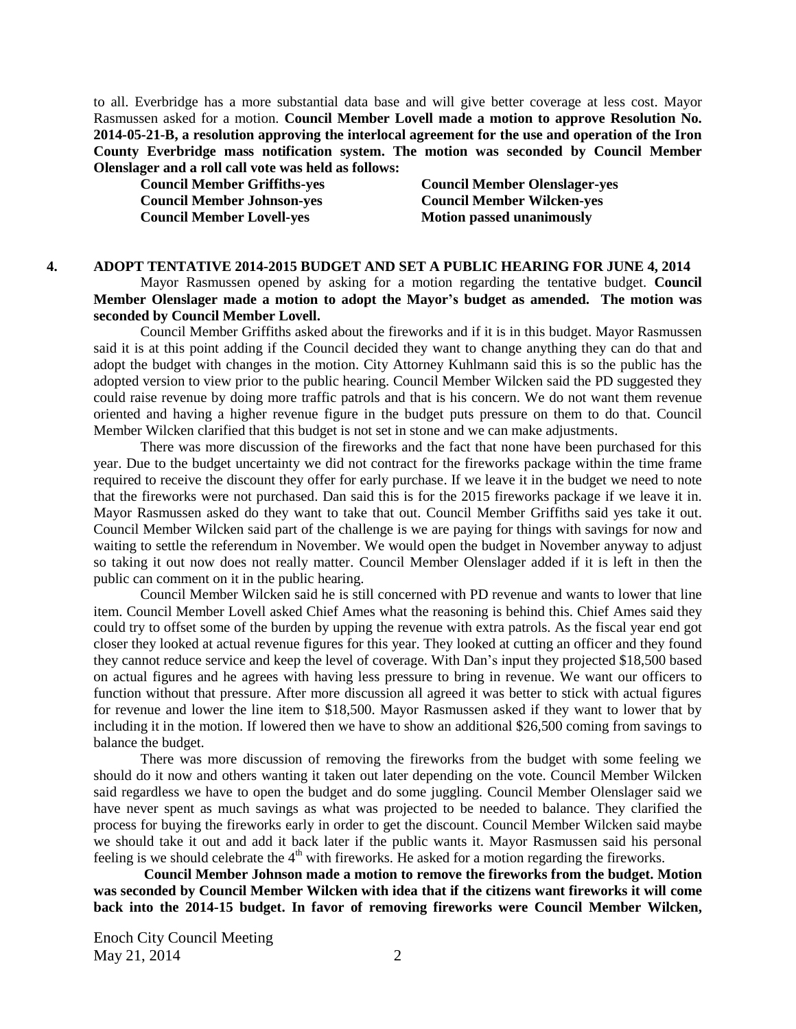to all. Everbridge has a more substantial data base and will give better coverage at less cost. Mayor Rasmussen asked for a motion. **Council Member Lovell made a motion to approve Resolution No. 2014-05-21-B, a resolution approving the interlocal agreement for the use and operation of the Iron County Everbridge mass notification system. The motion was seconded by Council Member Olenslager and a roll call vote was held as follows:** 

**Council Member Johnson-yes Council Member Wilcken-yes Council Member Lovell-yes Motion passed unanimously** 

**Council Member Griffiths-yes Council Member Olenslager-yes**

#### **4. ADOPT TENTATIVE 2014-2015 BUDGET AND SET A PUBLIC HEARING FOR JUNE 4, 2014**

Mayor Rasmussen opened by asking for a motion regarding the tentative budget. **Council Member Olenslager made a motion to adopt the Mayor's budget as amended. The motion was seconded by Council Member Lovell.** 

Council Member Griffiths asked about the fireworks and if it is in this budget. Mayor Rasmussen said it is at this point adding if the Council decided they want to change anything they can do that and adopt the budget with changes in the motion. City Attorney Kuhlmann said this is so the public has the adopted version to view prior to the public hearing. Council Member Wilcken said the PD suggested they could raise revenue by doing more traffic patrols and that is his concern. We do not want them revenue oriented and having a higher revenue figure in the budget puts pressure on them to do that. Council Member Wilcken clarified that this budget is not set in stone and we can make adjustments.

There was more discussion of the fireworks and the fact that none have been purchased for this year. Due to the budget uncertainty we did not contract for the fireworks package within the time frame required to receive the discount they offer for early purchase. If we leave it in the budget we need to note that the fireworks were not purchased. Dan said this is for the 2015 fireworks package if we leave it in. Mayor Rasmussen asked do they want to take that out. Council Member Griffiths said yes take it out. Council Member Wilcken said part of the challenge is we are paying for things with savings for now and waiting to settle the referendum in November. We would open the budget in November anyway to adjust so taking it out now does not really matter. Council Member Olenslager added if it is left in then the public can comment on it in the public hearing.

Council Member Wilcken said he is still concerned with PD revenue and wants to lower that line item. Council Member Lovell asked Chief Ames what the reasoning is behind this. Chief Ames said they could try to offset some of the burden by upping the revenue with extra patrols. As the fiscal year end got closer they looked at actual revenue figures for this year. They looked at cutting an officer and they found they cannot reduce service and keep the level of coverage. With Dan's input they projected \$18,500 based on actual figures and he agrees with having less pressure to bring in revenue. We want our officers to function without that pressure. After more discussion all agreed it was better to stick with actual figures for revenue and lower the line item to \$18,500. Mayor Rasmussen asked if they want to lower that by including it in the motion. If lowered then we have to show an additional \$26,500 coming from savings to balance the budget.

There was more discussion of removing the fireworks from the budget with some feeling we should do it now and others wanting it taken out later depending on the vote. Council Member Wilcken said regardless we have to open the budget and do some juggling. Council Member Olenslager said we have never spent as much savings as what was projected to be needed to balance. They clarified the process for buying the fireworks early in order to get the discount. Council Member Wilcken said maybe we should take it out and add it back later if the public wants it. Mayor Rasmussen said his personal feeling is we should celebrate the 4<sup>th</sup> with fireworks. He asked for a motion regarding the fireworks.

**Council Member Johnson made a motion to remove the fireworks from the budget. Motion was seconded by Council Member Wilcken with idea that if the citizens want fireworks it will come back into the 2014-15 budget. In favor of removing fireworks were Council Member Wilcken,** 

Enoch City Council Meeting May 21, 2014 2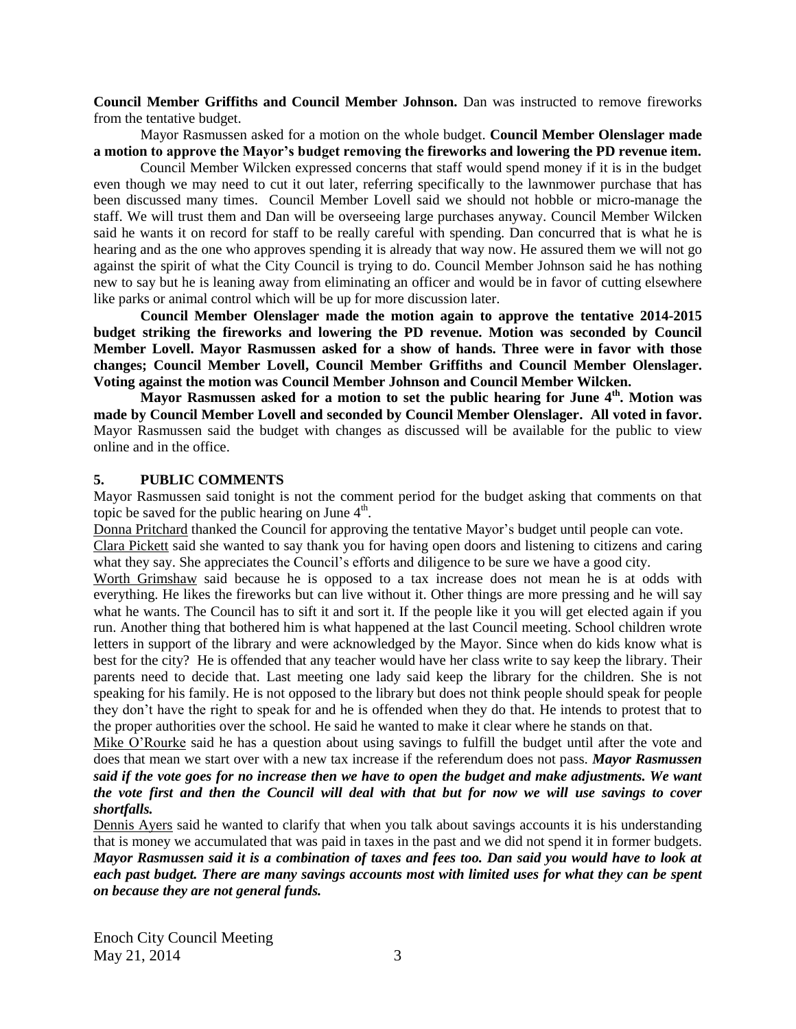**Council Member Griffiths and Council Member Johnson.** Dan was instructed to remove fireworks from the tentative budget.

Mayor Rasmussen asked for a motion on the whole budget. **Council Member Olenslager made a motion to approve the Mayor's budget removing the fireworks and lowering the PD revenue item.** 

Council Member Wilcken expressed concerns that staff would spend money if it is in the budget even though we may need to cut it out later, referring specifically to the lawnmower purchase that has been discussed many times. Council Member Lovell said we should not hobble or micro-manage the staff. We will trust them and Dan will be overseeing large purchases anyway. Council Member Wilcken said he wants it on record for staff to be really careful with spending. Dan concurred that is what he is hearing and as the one who approves spending it is already that way now. He assured them we will not go against the spirit of what the City Council is trying to do. Council Member Johnson said he has nothing new to say but he is leaning away from eliminating an officer and would be in favor of cutting elsewhere like parks or animal control which will be up for more discussion later.

**Council Member Olenslager made the motion again to approve the tentative 2014-2015 budget striking the fireworks and lowering the PD revenue. Motion was seconded by Council Member Lovell. Mayor Rasmussen asked for a show of hands. Three were in favor with those changes; Council Member Lovell, Council Member Griffiths and Council Member Olenslager. Voting against the motion was Council Member Johnson and Council Member Wilcken.** 

**Mayor Rasmussen asked for a motion to set the public hearing for June 4th. Motion was made by Council Member Lovell and seconded by Council Member Olenslager. All voted in favor.**  Mayor Rasmussen said the budget with changes as discussed will be available for the public to view online and in the office.

#### **5. PUBLIC COMMENTS**

Mayor Rasmussen said tonight is not the comment period for the budget asking that comments on that topic be saved for the public hearing on June  $4<sup>th</sup>$ .

Donna Pritchard thanked the Council for approving the tentative Mayor's budget until people can vote.

Clara Pickett said she wanted to say thank you for having open doors and listening to citizens and caring what they say. She appreciates the Council's efforts and diligence to be sure we have a good city.

Worth Grimshaw said because he is opposed to a tax increase does not mean he is at odds with everything. He likes the fireworks but can live without it. Other things are more pressing and he will say what he wants. The Council has to sift it and sort it. If the people like it you will get elected again if you run. Another thing that bothered him is what happened at the last Council meeting. School children wrote letters in support of the library and were acknowledged by the Mayor. Since when do kids know what is best for the city? He is offended that any teacher would have her class write to say keep the library. Their parents need to decide that. Last meeting one lady said keep the library for the children. She is not speaking for his family. He is not opposed to the library but does not think people should speak for people they don't have the right to speak for and he is offended when they do that. He intends to protest that to the proper authorities over the school. He said he wanted to make it clear where he stands on that.

Mike O'Rourke said he has a question about using savings to fulfill the budget until after the vote and does that mean we start over with a new tax increase if the referendum does not pass. *Mayor Rasmussen said if the vote goes for no increase then we have to open the budget and make adjustments. We want the vote first and then the Council will deal with that but for now we will use savings to cover shortfalls.*

Dennis Ayers said he wanted to clarify that when you talk about savings accounts it is his understanding that is money we accumulated that was paid in taxes in the past and we did not spend it in former budgets. *Mayor Rasmussen said it is a combination of taxes and fees too. Dan said you would have to look at each past budget. There are many savings accounts most with limited uses for what they can be spent on because they are not general funds.* 

Enoch City Council Meeting May 21, 2014 3